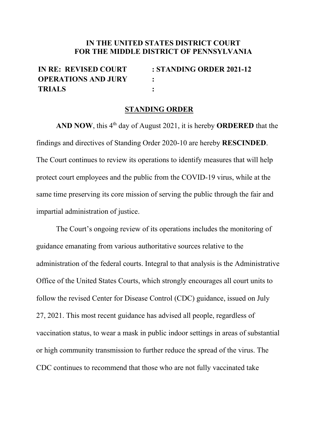## **IN THE UNITED STATES DISTRICT COURT FOR THE MIDDLE DISTRICT OF PENNSYLVANIA**

| <b>IN RE: REVISED COURT</b> | $: STANDING ORDER 2021-12$ |
|-----------------------------|----------------------------|
| <b>OPERATIONS AND JURY</b>  |                            |
| <b>TRIALS</b>               |                            |

## **STANDING ORDER**

AND NOW, this 4<sup>th</sup> day of August 2021, it is hereby **ORDERED** that the findings and directives of Standing Order 2020-10 are hereby **RESCINDED**. The Court continues to review its operations to identify measures that will help protect court employees and the public from the COVID-19 virus, while at the same time preserving its core mission of serving the public through the fair and impartial administration of justice.

The Court's ongoing review of its operations includes the monitoring of guidance emanating from various authoritative sources relative to the administration of the federal courts. Integral to that analysis is the Administrative Office of the United States Courts, which strongly encourages all court units to follow the revised Center for Disease Control (CDC) guidance, issued on July 27, 2021. This most recent guidance has advised all people, regardless of vaccination status, to wear a mask in public indoor settings in areas of substantial or high community transmission to further reduce the spread of the virus. The CDC continues to recommend that those who are not fully vaccinated take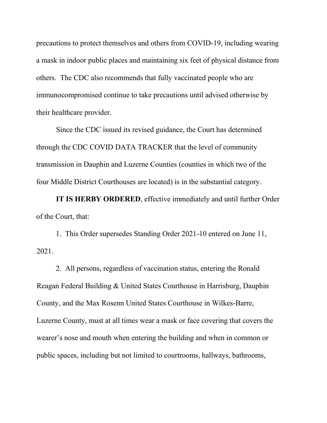precautions to protect themselves and others from COVID-19, including wearing a mask in indoor public places and maintaining six feet of physical distance from others. The CDC also recommends that fully vaccinated people who are immunocompromised continue to take precautions until advised otherwise by their healthcare provider.

Since the CDC issued its revised guidance, the Court has determined through the CDC COVID DATA TRACKER that the level of community transmission in Dauphin and Luzerne Counties (counties in which two of the four Middle District Courthouses are located) is in the substantial category.

**IT IS HERBY ORDERED**, effective immediately and until further Order of the Court, that:

1. This Order supersedes Standing Order 2021-10 entered on June 11, 2021.

2. All persons, regardless of vaccination status, entering the Ronald Reagan Federal Building & United States Courthouse in Harrisburg, Dauphin County, and the Max Rosenn United States Courthouse in Wilkes-Barre, Luzerne County, must at all times wear a mask or face covering that covers the wearer's nose and mouth when entering the building and when in common or public spaces, including but not limited to courtrooms, hallways, bathrooms,